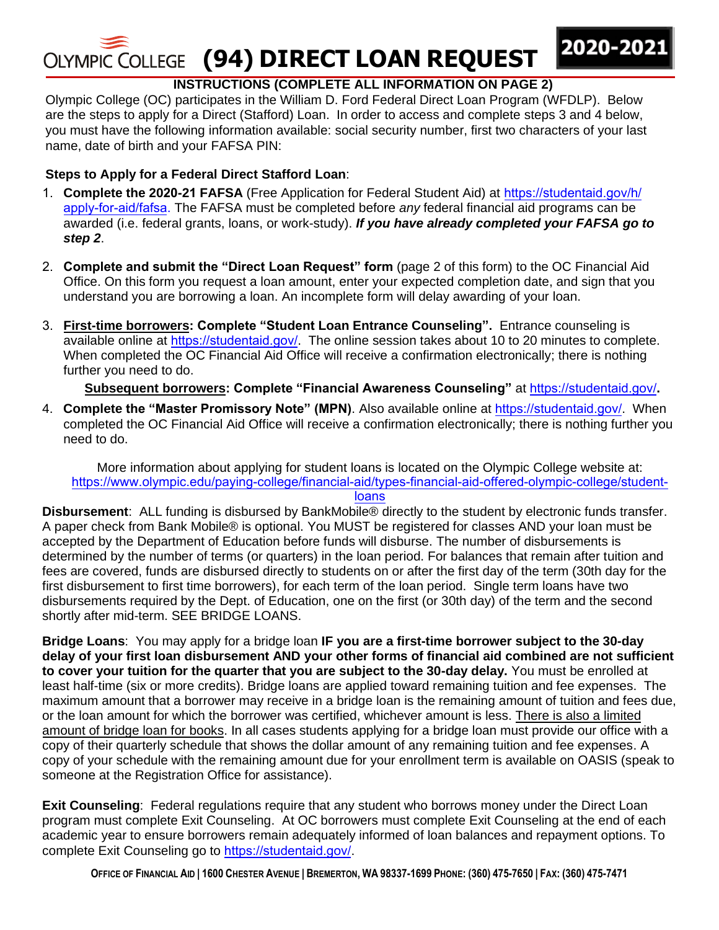# **(94) DIRECT LOAN REQUEST**

## **INSTRUCTIONS (COMPLETE ALL INFORMATION ON PAGE 2)**

2020-202

Olympic College (OC) participates in the William D. Ford Federal Direct Loan Program (WFDLP). Below are the steps to apply for a Direct (Stafford) Loan. In order to access and complete steps 3 and 4 below, you must have the following information available: social security number, first two characters of your last name, date of birth and your FAFSA PIN:

## **Steps to Apply for a Federal Direct Stafford Loan**:

- 1. **Complete the 2020-21 FAFSA** [\(Free Application for Federal Student Aid\) at](http://www.fafsa.ed.gov/) https://studentaid.gov/h/ apply-for-aid/fafsa. The FAFSA must be completed before *any* federal financial aid programs can be awarded (i.e. federal grants, loans, or work-study). *If you have already completed your FAFSA go to step 2*.
- 2. **Complete and submit the "Direct [Loan Request" form](http://www.olympic.edu/Students/GettingStarted/FinancialAid/Forms.htm)** (page 2 of this form) to the OC Financial Aid Office. On this form you request a loan amount, enter your expected completion date, and sign that you understand you are borrowing a loan. An incomplete form will delay awarding of your loan.
- 3. **First-time borrowers: Complete "Student [Loan Entrance Counseling"](http://www.nela.net/loancounseling/default.asp?nav_section=12).** Entrance counseling is available online at [https://studentaid.gov/](http://www.studentloans.gov/). The online session takes about 10 to 20 minutes to complete. When completed the OC Financial Aid Office will receive a confirmation electronically; there is nothing further you need to do.

## **Subsequent borrowers: Complete "Financial Awareness Counseling"** at [https://studentaid.gov/](http://www.studentloans.gov/)**.**

4. **Complete the "Master Promissory Note" (MPN)**. Also available online at [https://studentaid.gov/](http://www.studentloans.gov/). When completed the OC Financial Aid Office will receive a confirmation electronically; there is nothing further you need to do.

More information about applying for student loans is located on the Olympic College website at: [https://www.olym](https://www.olympic.edu/paying-college/financial-aid/types-financial-aid-offered-olympic-college/student-loansDisbursement:)[pic.edu/paying-college/financial-aid/types-financial-aid-offered-olympic-](http://www.olympic.edu/Students/GettingStarted/FinancialAid/Loans.htm)[college/student-](https://www.olympic.edu/paying-college/financial-aid/types-financial-aid-offered-olympic-college/student-loansDisbursement:)

### loans

**[Disbursement](https://www.olympic.edu/paying-college/financial-aid/types-financial-aid-offered-olympic-college/student-loansDisbursement:)**: ALL funding is disbursed by BankMobile® directly to the student by electronic funds transfer. A paper check from Bank Mobile® is optional. You MUST be registered for classes AND your loan must be accepted by the Department of Education before funds will disburse. The number of disbursements is determined by the number of terms (or quarters) in the loan period. For balances that remain after tuition and fees are covered, funds are disbursed directly to students on or after the first day of the term (30th day for the first disbursement to first time borrowers), for each term of the loan period. Single term loans have two disbursements required by the Dept. of Education, one on the first (or 30th day) of the term and the second shortly after mid-term. SEE BRIDGE LOANS.

**Bridge Loans**: You may apply for a bridge loan **IF you are a first-time borrower subject to the 30-day delay of your first loan disbursement AND your other forms of financial aid combined are not sufficient to cover your tuition for the quarter that you are subject to the 30-day delay.** You must be enrolled at least half-time (six or more credits). Bridge loans are applied toward remaining tuition and fee expenses. The maximum amount that a borrower may receive in a bridge loan is the remaining amount of tuition and fees due, or the loan amount for which the borrower was certified, whichever amount is less. There is also a limited amount of bridge loan for books. In all cases students applying for a bridge loan must provide our office with a copy of their quarterly schedule that shows the dollar amount of any remaining tuition and fee expenses. A copy of your schedule with the remaining amount due for your enrollment term is available on OASIS (speak to someone at the Registration Office for assistance).

**Exit Counseling**: Federal regulations require that any student who borrows money under the Direct Loan program must complete [Exit Counseling.](http://www.nela.net/loancounseling/default.asp?nav_section=12) At OC borrowers must complete Exit Counseling at the end of each academic year to ensure borrowers remain adequately informed of loan balances and repayment options. To complete Exit Counseling go to [https://studentaid.gov/](http://www.studentloans.gov/).